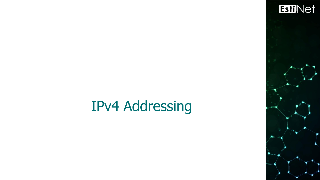

1

## IPv4 Addressing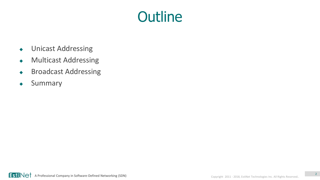## **Outline**

- Unicast Addressing
- Multicast Addressing
- Broadcast Addressing
- Summary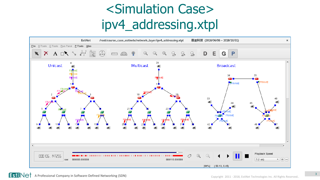## <Simulation Case> ipv4\_addressing.xtpl

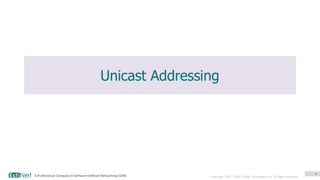## Unicast Addressing



4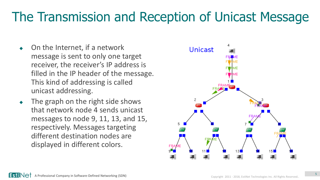#### The Transmission and Reception of Unicast Message

- On the Internet, if a network message is sent to only one target receiver, the receiver's IP address is filled in the IP header of the message. This kind of addressing is called unicast addressing.
- The graph on the right side shows that network node 4 sends unicast messages to node 9, 11, 13, and 15, respectively. Messages targeting different destination nodes are displayed in different colors.

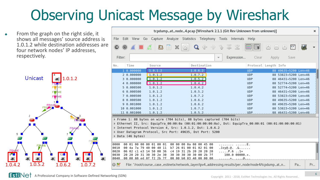# Observing Unicast Message by Wireshark

 From the graph on the right side, it shows all messages' source address is 1.0.1.2 while destination addresses are four network nodes' IP addresses, respectively.



|                       |                                                                                                                                                                                                                                                                                                                        |         |                |                   |         |                                                    |                         |                        |            | tcpdump_at_node_4.pcap [Wireshark 2.1.1 (Git Rev Unknown from unknown)]                             |                             |                      |                      |    | $\times$ |
|-----------------------|------------------------------------------------------------------------------------------------------------------------------------------------------------------------------------------------------------------------------------------------------------------------------------------------------------------------|---------|----------------|-------------------|---------|----------------------------------------------------|-------------------------|------------------------|------------|-----------------------------------------------------------------------------------------------------|-----------------------------|----------------------|----------------------|----|----------|
| File                  | Edit View Go Capture Analyze Statistics Telephony Tools Internals Help                                                                                                                                                                                                                                                 |         |                |                   |         |                                                    |                         |                        |            |                                                                                                     |                             |                      |                      |    |          |
| ●                     | $\odot$                                                                                                                                                                                                                                                                                                                |         | $\blacksquare$ | $\mathbb{X}$<br>G | Q       |                                                    | $\lll$ $\gg$ $\gg$      | ⋒                      |            | ⋑                                                                                                   | $[{\scriptstyle \uparrow}]$ | $\sqrt{1}$<br>$\Box$ | $\ast$ $\ast$        |    |          |
| Filter:               |                                                                                                                                                                                                                                                                                                                        |         |                |                   |         |                                                    | $\overline{\mathbf{v}}$ |                        | Expression | Clear                                                                                               | Apply                       |                      | Save                 |    |          |
| No.                   | Time                                                                                                                                                                                                                                                                                                                   | Source  |                |                   |         | Destination                                        |                         |                        |            | Protocol Length Info                                                                                |                             |                      |                      |    |          |
|                       | 1 0.000000                                                                                                                                                                                                                                                                                                             | 1.0.1.2 |                |                   | 1.0.6.2 |                                                    |                         |                        |            | <b>UDP</b>                                                                                          |                             |                      | 88 49635-5200 Len=46 |    |          |
|                       | 2 0.000000                                                                                                                                                                                                                                                                                                             | 1.0.1.2 |                |                   | 1.0.7.2 |                                                    |                         |                        |            | <b>UDP</b>                                                                                          |                             |                      | 88 53823-5200 Len=46 |    |          |
|                       | 3 0.000000                                                                                                                                                                                                                                                                                                             | 1.0.1.2 |                |                   | 1.0.5.2 |                                                    |                         |                        |            | <b>UDP</b>                                                                                          |                             |                      | 88 46431→5200 Len=46 |    |          |
|                       | 4 0.000000                                                                                                                                                                                                                                                                                                             | 1.0.1.2 |                |                   | 1.0.4.2 |                                                    |                         |                        |            | <b>UDP</b>                                                                                          |                             |                      | 88 52774-5200 Len=46 |    |          |
|                       | 5 0.000500                                                                                                                                                                                                                                                                                                             | 1.0.1.2 |                |                   | 1.0.4.2 |                                                    |                         |                        |            | <b>UDP</b>                                                                                          |                             |                      | 88 52774-5200 Len=46 |    |          |
|                       | 60.000500                                                                                                                                                                                                                                                                                                              | 1.0.1.2 |                |                   | 1.0.5.2 |                                                    |                         |                        |            | <b>UDP</b>                                                                                          |                             |                      | 88 46431-5200 Len=46 |    |          |
|                       | 7 0.000500                                                                                                                                                                                                                                                                                                             | 1.0.1.2 |                |                   | 1.0.7.2 |                                                    |                         |                        |            | <b>UDP</b>                                                                                          |                             |                      | 88 53823-5200 Len=46 |    |          |
|                       | 8 0.000500                                                                                                                                                                                                                                                                                                             | 1.0.1.2 |                |                   | 1.0.6.2 |                                                    |                         |                        |            | <b>UDP</b>                                                                                          |                             |                      | 88 49635-5200 Len=46 |    |          |
|                       | 9 0.001000                                                                                                                                                                                                                                                                                                             | 1.0.1.2 |                |                   | 1.0.6.2 |                                                    |                         |                        |            | <b>UDP</b>                                                                                          |                             |                      | 88 49635-5200 Len=46 |    |          |
|                       | 10 0.001000                                                                                                                                                                                                                                                                                                            | 1.0.1.2 |                |                   | 1.0.7.2 |                                                    |                         |                        |            | <b>UDP</b>                                                                                          |                             |                      | 88 53823-5200 Len=46 |    |          |
|                       | 11 0.001000                                                                                                                                                                                                                                                                                                            | 1.0.1.2 |                |                   | 1.0.5.2 |                                                    |                         |                        |            | UDP                                                                                                 |                             |                      | 88 46431-5200 Len=46 |    |          |
|                       | Frame 1: 88 bytes on wire (704 bits), 88 bytes captured (704 bits)<br>Ethernet II, Src: EquipTra 00:00:0a (00:01:00:00:00:0a), Dst: EquipTra 00:00:01 (00:01:00:00:00:01) ♦<br>Internet Protocol Version 4, Src: 1.0.1.2, Dst: 1.0.6.2<br>▶ User Datagram Protocol, Src Port: 49635, Dst Port: 5200<br>Data (46 bytes) |         |                |                   |         |                                                    |                         |                        |            |                                                                                                     |                             |                      |                      |    |          |
| 0000                  | 00 01 00 00 00 01 00 01                                                                                                                                                                                                                                                                                                |         |                |                   |         | 00 00 00 0a 08 00 45 00                            |                         |                        | . E .      |                                                                                                     |                             |                      |                      |    |          |
| 0010<br>0020          | 00 4a 7a 79 40 00 40 11<br>06 02 cl e3 14 50 00 36                                                                                                                                                                                                                                                                     |         |                |                   |         | b7 26 01 00 01 02 01 00<br>c4 19 31 2b 20 20 20 20 |                         | $\ldots P.6 \ldots 1+$ | Jzy@.@. A  |                                                                                                     |                             |                      |                      |    |          |
| 0030                  | 20 20 20 31 30 30 2e 30                                                                                                                                                                                                                                                                                                |         |                |                   |         | 30 30 30 30 30 00 2b 7f                            |                         |                        | 100.000000 |                                                                                                     |                             |                      |                      |    |          |
| 0040                  | 00 00 80 ed 0f f2 2b 7f                                                                                                                                                                                                                                                                                                |         |                |                   |         | 00 00 b0 03 40 00 00 00                            |                         |                        | $+0$       |                                                                                                     |                             |                      |                      |    |          |
| $\circ$ $\mathscr{C}$ |                                                                                                                                                                                                                                                                                                                        |         |                |                   |         |                                                    |                         |                        |            | File: "/root/course_case_estinetx/network_layer/ipv4_addressing.results/per_node/node4/tcpdump_at_n |                             |                      |                      | Pa | Pr       |

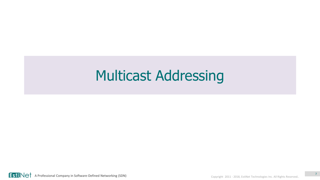## Multicast Addressing

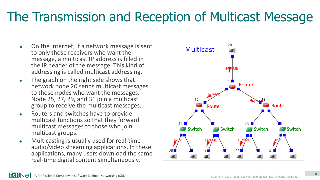#### The Transmission and Reception of Multicast Message

- On the Internet, if a network message is sent to only those receivers who want the message, a multicast IP address is filled in the IP header of the message. This kind of addressing is called multicast addressing.
- $\leftarrow$  The graph on the right side shows that network node 20 sends multicast messages to those nodes who want the messages. Node 25, 27, 29, and 31 join a multicast group to receive the multicast messages.
- ◆ Routers and switches have to provide multicast functions so that they forward multicast messages to those who join multicast groups.
- $\bullet$  Multicasting is usually used for real-time audio/video streaming applications. In these applications, many users download the same real-time digital content simultaneously.

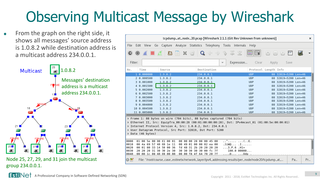# Observing Multicast Message by Wireshark

 From the graph on the right side, it shows all messages' source address is 1.0.8.2 while destination address is a multicast address 234.0.0.1.



Node 25, 27, 29, and 31 join the multicast group 234.0.0.1.

|                                                               |         |                 |                                                                                                                                                                                              |  |                                                                                                                                     |  |             |                                                                                                                                                                                                                                                                                                                                                     |                         |                                       |                                       | tcpdump_at_node_20.pcap [Wireshark 2.1.1 (Git Rev Unknown from unknown)]                            |                |                     |                      |    | $\times$ |
|---------------------------------------------------------------|---------|-----------------|----------------------------------------------------------------------------------------------------------------------------------------------------------------------------------------------|--|-------------------------------------------------------------------------------------------------------------------------------------|--|-------------|-----------------------------------------------------------------------------------------------------------------------------------------------------------------------------------------------------------------------------------------------------------------------------------------------------------------------------------------------------|-------------------------|---------------------------------------|---------------------------------------|-----------------------------------------------------------------------------------------------------|----------------|---------------------|----------------------|----|----------|
| File                                                          |         |                 | Edit View Go Capture Analyze Statistics Telephony Tools Internals Help                                                                                                                       |  |                                                                                                                                     |  |             |                                                                                                                                                                                                                                                                                                                                                     |                         |                                       |                                       |                                                                                                     |                |                     |                      |    |          |
| $\mathbf{\Theta}$                                             | $\odot$ |                 |                                                                                                                                                                                              |  | <b>B R X G</b>                                                                                                                      |  |             | $\begin{picture}(160,170) \put(0,0){\line(1,0){10}} \put(15,0){\line(1,0){10}} \put(15,0){\line(1,0){10}} \put(15,0){\line(1,0){10}} \put(15,0){\line(1,0){10}} \put(15,0){\line(1,0){10}} \put(15,0){\line(1,0){10}} \put(15,0){\line(1,0){10}} \put(15,0){\line(1,0){10}} \put(15,0){\line(1,0){10}} \put(15,0){\line(1,0){10}} \put(15,0){\line$ |                         |                                       |                                       | - 3                                                                                                 | $\mathbb{C}^1$ | $\mathbb{I}$<br>$=$ | $+$                  |    |          |
| Filter:                                                       |         |                 |                                                                                                                                                                                              |  |                                                                                                                                     |  |             |                                                                                                                                                                                                                                                                                                                                                     | $\overline{\mathbf{v}}$ | Expression                            |                                       | Clear                                                                                               | Apply          |                     | Save                 |    |          |
| No.                                                           | Time    |                 | Source                                                                                                                                                                                       |  |                                                                                                                                     |  | Destination |                                                                                                                                                                                                                                                                                                                                                     |                         |                                       |                                       | Protocol Length Info                                                                                |                |                     |                      |    |          |
|                                                               |         | 1 0.000000      | 1.0.8.2                                                                                                                                                                                      |  |                                                                                                                                     |  | 234.0.0.1   |                                                                                                                                                                                                                                                                                                                                                     |                         |                                       |                                       | <b>UDP</b>                                                                                          |                |                     | 88 32819-5200 Len=46 |    |          |
|                                                               |         | 2 0.000500      | 1.0.8.2                                                                                                                                                                                      |  |                                                                                                                                     |  | 234.0.0.1   |                                                                                                                                                                                                                                                                                                                                                     |                         |                                       |                                       | <b>UDP</b>                                                                                          |                |                     | 88 32819-5200 Len=46 |    |          |
|                                                               |         | 3 0.001000      | 1.0.8.2                                                                                                                                                                                      |  |                                                                                                                                     |  | 234.0.0.1   |                                                                                                                                                                                                                                                                                                                                                     |                         |                                       |                                       | <b>UDP</b>                                                                                          |                |                     | 88 32819-5200 Len=46 |    |          |
|                                                               |         | 4 0.001500      | 1.0.8.2                                                                                                                                                                                      |  |                                                                                                                                     |  | 234.0.0.1   |                                                                                                                                                                                                                                                                                                                                                     |                         |                                       |                                       | <b>UDP</b>                                                                                          |                |                     | 88 32819-5200 Len=46 |    |          |
|                                                               |         | 5 0.002000      | 1.0.8.2                                                                                                                                                                                      |  |                                                                                                                                     |  | 234.0.0.1   |                                                                                                                                                                                                                                                                                                                                                     |                         |                                       |                                       | <b>UDP</b>                                                                                          |                |                     | 88 32819-5200 Len=46 |    |          |
|                                                               |         | 60.002500       | 1.0.8.2                                                                                                                                                                                      |  |                                                                                                                                     |  | 234.0.0.1   |                                                                                                                                                                                                                                                                                                                                                     |                         |                                       |                                       | <b>UDP</b>                                                                                          |                |                     | 88 32819-5200 Len=46 |    |          |
|                                                               |         | 7 0.003000      | 1.0.8.2                                                                                                                                                                                      |  |                                                                                                                                     |  | 234.0.0.1   |                                                                                                                                                                                                                                                                                                                                                     |                         |                                       |                                       | <b>UDP</b>                                                                                          |                |                     | 88 32819-5200 Len=46 |    |          |
|                                                               |         | 8 0.003500      | 1.0.8.2                                                                                                                                                                                      |  |                                                                                                                                     |  | 234.0.0.1   |                                                                                                                                                                                                                                                                                                                                                     |                         |                                       |                                       | <b>UDP</b>                                                                                          |                |                     | 88 32819-5200 Len=46 |    |          |
|                                                               |         | 9 0.004000      | 1.0.8.2                                                                                                                                                                                      |  |                                                                                                                                     |  | 234.0.0.1   |                                                                                                                                                                                                                                                                                                                                                     |                         |                                       |                                       | <b>UDP</b>                                                                                          |                |                     | 88 32819-5200 Len=46 |    |          |
|                                                               |         | 10 0.004500     | 1.0.8.2                                                                                                                                                                                      |  |                                                                                                                                     |  | 234.0.0.1   |                                                                                                                                                                                                                                                                                                                                                     |                         |                                       |                                       | <b>UDP</b>                                                                                          |                |                     | 88 32819-5200 Len=46 |    |          |
|                                                               |         | 11 0.005000     | 1.0.8.2                                                                                                                                                                                      |  |                                                                                                                                     |  | 234.0.0.1   |                                                                                                                                                                                                                                                                                                                                                     |                         |                                       |                                       | <b>UDP</b>                                                                                          |                |                     | 88 32819-5200 Len=46 |    |          |
|                                                               |         | Data (46 bytes) | Frame 1: 88 bytes on wire (704 bits), 88 bytes captured (704 bits)<br>Internet Protocol Version 4, Src: 1.0.8.2, Dst: 234.0.0.1<br>▶ User Datagram Protocol, Src Port: 32819, Dst Port: 5200 |  |                                                                                                                                     |  |             |                                                                                                                                                                                                                                                                                                                                                     |                         |                                       |                                       | Ethernet II, Src: EquipTra 00:00:28 (00:01:00:00:00:28), Dst: IPv4mcast 01 (01:00:5e:00:00:01) →    |                |                     |                      |    |          |
| 0000<br>0010<br>0020<br>0030<br>0040<br>$\circ$ $\mathscr{C}$ |         |                 | 01 00 5e 00 00 01 00 01<br>00 4a 69 57 40 00 1e 11<br>00 01 80 33 14 50 00 36<br>20 20 20 31 30 30 2e 30<br>00 00 1c 08 40 00 00 00                                                          |  | 00 00 00 28 08 00 45 00<br>00 49 01 00 08 02 ea 00<br>fd 48 31 2b 20 20 20 20<br>30 30 30 30 30 00 fc 7f<br>00 00 f8 4f 64 70 20 7f |  |             |                                                                                                                                                                                                                                                                                                                                                     |                         | $3.P.6$ $.H1+$<br>$\ldots 0 \ldots 1$ | . . ^ ( E .<br>.JiW@ .I<br>100.000000 | File: "/root/course_case_estinetx/network_layer/ipv4_addressing.results/per_node/node20/tcpdump_at_ |                |                     |                      | Pa | Pr       |

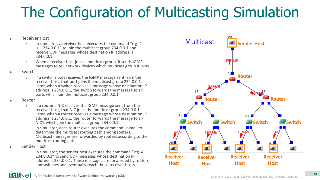## The Configuration of Multicasting Simulation

#### Receiver Host

- In simulator, a receiver host executes the command "rtg -4 u … 234.0.0.1" to join the multicast group 234.0.0.1 and receive UDP messages whose destination IP address is 234.0.0.1.
- When a receiver host joins a multicast group, it sends IGMP messages to tell network devices which multicast group it joins.
- Switch
	- If a switch's port receives the IGMP message sent from the receiver host, that port joins the multicast group 234.0.0.1. Later, when a switch receives a message whose destination IP address is 234.0.0.1, the switch forwards the message to all ports which join the multicast group 234.0.0.1.
- Router
	- If a router's NIC receives the IGMP message sent from the receiver host, that NIC joins the multicast group 234.0.0.1. Later, when a router receives a message whose destination IP address is 234.0.0.1, the router forwards the message to all NIC's which join the multicast group 234.0.0.1.
	- In simulator, each router executes the command "pimd" to determine the multicast routing path among routers. Multicast messages are forwarded by routers according to the multicast routing path.
- Sender Host
	- In simulator, the sender host executes the command "stg -4 … 234.0.0.1" to send UDP messages whose destination IP address is 234.0.0.1. These messages are forwarded by routers and switches and eventually reach those receiver hosts.



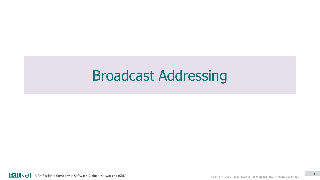## Broadcast Addressing

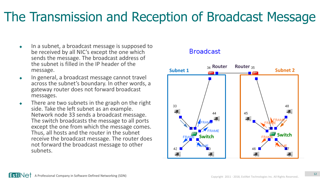#### The Transmission and Reception of Broadcast Message

- $\bullet$  In a subnet, a broadcast message is supposed to be received by all NIC's except the one which sends the message. The broadcast address of the subnet is filled in the IP header of the message.
- ◆ In general, a broadcast message cannot travel across the subnet's boundary. In other words, a gateway router does not forward broadcast messages.
- There are two subnets in the graph on the right side. Take the left subnet as an example. Network node 33 sends a broadcast message. The switch broadcasts the message to all ports except the one from which the message comes. Thus, all hosts and the router in the subnet receive the broadcast message. The router does not forward the broadcast message to other subnets.

#### **Broadcast**

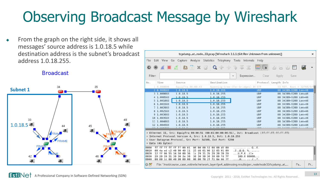## Observing Broadcast Message by Wireshark

 From the graph on the right side, it shows all messages' source address is 1.0.18.5 while destination address is the subnet's broadcast address 1.0.18.255.

**Broadcast** 



|                                      |                          |                                                                                                                                     |                   | tcpdump_at_node_33.pcap [Wireshark 2.1.1 (Git Rev Unknown from unknown)]                                                                                                                                                                                                                                                                                       |                                                                                   |                          |                                                                                                           |                                              |            | ×  |
|--------------------------------------|--------------------------|-------------------------------------------------------------------------------------------------------------------------------------|-------------------|----------------------------------------------------------------------------------------------------------------------------------------------------------------------------------------------------------------------------------------------------------------------------------------------------------------------------------------------------------------|-----------------------------------------------------------------------------------|--------------------------|-----------------------------------------------------------------------------------------------------------|----------------------------------------------|------------|----|
| File                                 |                          |                                                                                                                                     |                   | Edit View Go Capture Analyze Statistics Telephony Tools Internals Help                                                                                                                                                                                                                                                                                         |                                                                                   |                          |                                                                                                           |                                              |            |    |
| $\bigcirc$                           | $\odot$                  |                                                                                                                                     |                   | A B A B R G Q & 2 3 3 2                                                                                                                                                                                                                                                                                                                                        |                                                                                   | $\overline{\mathbf{z}}$  | $\begin{bmatrix} \mathcal{C}_{\mathcal{P}} \\ \mathcal{C}_{\mathcal{P}} \end{bmatrix}$<br>$\vert$ $\vert$ | $+$<br>$\boxed{1}$                           | <b>Pol</b> |    |
| Filter:                              |                          |                                                                                                                                     |                   |                                                                                                                                                                                                                                                                                                                                                                | Expression<br>$\overline{\mathbf{v}}$                                             | Clear                    | Apply                                                                                                     | Save                                         |            |    |
| No.                                  | Time                     | Source                                                                                                                              |                   | Destination                                                                                                                                                                                                                                                                                                                                                    |                                                                                   |                          | Protocol Length Info                                                                                      |                                              |            |    |
|                                      | 1 0.000000               |                                                                                                                                     | EquipTra 00:00:43 |                                                                                                                                                                                                                                                                                                                                                                | Spanning-tree-(for-bridges) 00 STP                                                |                          |                                                                                                           | 53 RST. Root = 32768/0/                      |            |    |
|                                      | 2 0.999583               | 1.0.18.5                                                                                                                            |                   | 1.0.18.255                                                                                                                                                                                                                                                                                                                                                     |                                                                                   | <b>UDP</b>               |                                                                                                           | 88 34389-5200 Len=46                         |            |    |
|                                      | 3 1.000083               | 1.0.18.5                                                                                                                            |                   | 1.0.18.255                                                                                                                                                                                                                                                                                                                                                     |                                                                                   | <b>UDP</b>               |                                                                                                           | 88 34389-5200 Len=46                         |            |    |
|                                      | 4 1.000583<br>5 1.001083 | 1.0.18.5<br>1.0.18.5                                                                                                                |                   | 1.0.18.255<br>1.0.18.255                                                                                                                                                                                                                                                                                                                                       |                                                                                   | <b>UDP</b><br><b>UDP</b> |                                                                                                           | 88 34389-5200 Len=46<br>88 34389-5200 Len=46 |            |    |
|                                      | 6 1.001583               | 1.0.18.5                                                                                                                            |                   | 1.0.18.255                                                                                                                                                                                                                                                                                                                                                     |                                                                                   | <b>UDP</b>               |                                                                                                           | 88 34389-5200 Len=46                         |            |    |
|                                      | 7 1.002083               | 1.0.18.5                                                                                                                            |                   | 1.0.18.255                                                                                                                                                                                                                                                                                                                                                     |                                                                                   | <b>UDP</b>               |                                                                                                           | 88 34389-5200 Len=46                         |            |    |
|                                      | 8 1.002583               | 1.0.18.5                                                                                                                            |                   | 1.0.18.255                                                                                                                                                                                                                                                                                                                                                     |                                                                                   | <b>UDP</b>               |                                                                                                           | 88 34389-5200 Len=46                         |            |    |
|                                      | 9 1.003083               | 1.0.18.5                                                                                                                            |                   | 1.0.18.255                                                                                                                                                                                                                                                                                                                                                     |                                                                                   | <b>UDP</b>               |                                                                                                           | 88 34389-5200 Len=46                         |            |    |
|                                      | 10 1.003583              | 1.0.18.5                                                                                                                            |                   | 1.0.18.255                                                                                                                                                                                                                                                                                                                                                     |                                                                                   | <b>UDP</b>               |                                                                                                           | 88 34389-5200 Len=46                         |            |    |
|                                      | 11 1.004083              | 1.0.18.5                                                                                                                            |                   | 1.0.18.255                                                                                                                                                                                                                                                                                                                                                     |                                                                                   | <b>UDP</b>               |                                                                                                           | 88 34389-5200 Len=46                         |            |    |
|                                      | 12 1.004583              | 1.0.18.5                                                                                                                            |                   | 1.0.18.255                                                                                                                                                                                                                                                                                                                                                     |                                                                                   | <b>UDP</b>               |                                                                                                           | 88 34389→5200 Len=46                         |            |    |
| 0000<br>0010<br>0020<br>0030<br>0040 | Data (46 bytes)          | ff ff ff ff ff ff 00 01<br>00 4a ed c2 40 00 40 11<br>12 ff 86 55 14 50 00 36<br>20 20 20 31 30 30 2e 30<br>00 00 1c 08 40 00 00 00 |                   | Ethernet II, Src: EquipTra 00:00:51 (00:01:00:00:00:51), Dst: Broadcast (ff:ff:ff:ff:ff:ff) #<br>Internet Protocol Version 4, Src: 1.0.18.5, Dst: 1.0.18.255<br>User Datagram Protocol, Src Port: 34389, Dst Port: 5200<br>00 00 00 51 08 00 45 00<br>25 dd 01 00 12 05 01 00<br>1c 29 31 2b 20 20 20 20<br>30 30 30 30 30 00 fd 7f<br>00 00 f8 2f f1 8e 66 7f | QE.<br>$.3. .0.0. % \$<br>$U.P.6$ .) 1+<br>100.000000<br>$\ldots 0 \ldots \ldots$ |                          |                                                                                                           |                                              |            |    |
| $\bigcirc$ $\mathscr{C}$             |                          |                                                                                                                                     |                   | File: "/root/course_case_estinetx/network_layer/ipv4_addressing.results/per_node/node33/tcpdump_at_                                                                                                                                                                                                                                                            |                                                                                   |                          |                                                                                                           |                                              | Pa         | Pr |

**A Professional Company in Software-Defined Networking (SDN)** Copyright 2011 - 2018, EstiNet Technologies Inc. All Rights Reserved.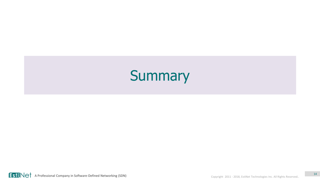